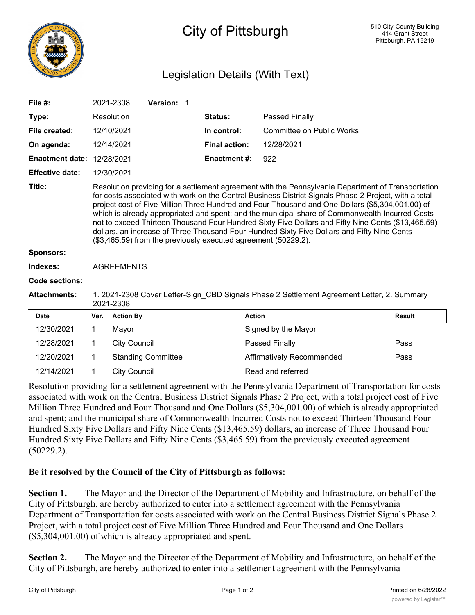

## City of Pittsburgh

## Legislation Details (With Text)

| File $#$ :             |                                                                                                                                                                                                                                                                                                                                                                                                                                                                                                                                                                                                                                                                                           | 2021-2308                 | Version: 1 |                      |                                  |               |  |  |  |  |  |
|------------------------|-------------------------------------------------------------------------------------------------------------------------------------------------------------------------------------------------------------------------------------------------------------------------------------------------------------------------------------------------------------------------------------------------------------------------------------------------------------------------------------------------------------------------------------------------------------------------------------------------------------------------------------------------------------------------------------------|---------------------------|------------|----------------------|----------------------------------|---------------|--|--|--|--|--|
| Type:                  |                                                                                                                                                                                                                                                                                                                                                                                                                                                                                                                                                                                                                                                                                           | Resolution                |            | Status:              | Passed Finally                   |               |  |  |  |  |  |
| File created:          |                                                                                                                                                                                                                                                                                                                                                                                                                                                                                                                                                                                                                                                                                           | 12/10/2021                |            | In control:          | <b>Committee on Public Works</b> |               |  |  |  |  |  |
| On agenda:             |                                                                                                                                                                                                                                                                                                                                                                                                                                                                                                                                                                                                                                                                                           | 12/14/2021                |            | <b>Final action:</b> | 12/28/2021                       |               |  |  |  |  |  |
| <b>Enactment date:</b> |                                                                                                                                                                                                                                                                                                                                                                                                                                                                                                                                                                                                                                                                                           | 12/28/2021                |            | <b>Enactment #:</b>  | 922                              |               |  |  |  |  |  |
| <b>Effective date:</b> |                                                                                                                                                                                                                                                                                                                                                                                                                                                                                                                                                                                                                                                                                           | 12/30/2021                |            |                      |                                  |               |  |  |  |  |  |
| Title:                 | Resolution providing for a settlement agreement with the Pennsylvania Department of Transportation<br>for costs associated with work on the Central Business District Signals Phase 2 Project, with a total<br>project cost of Five Million Three Hundred and Four Thousand and One Dollars (\$5,304,001.00) of<br>which is already appropriated and spent; and the municipal share of Commonwealth Incurred Costs<br>not to exceed Thirteen Thousand Four Hundred Sixty Five Dollars and Fifty Nine Cents (\$13,465.59)<br>dollars, an increase of Three Thousand Four Hundred Sixty Five Dollars and Fifty Nine Cents<br>(\$3,465.59) from the previously executed agreement (50229.2). |                           |            |                      |                                  |               |  |  |  |  |  |
| <b>Sponsors:</b>       |                                                                                                                                                                                                                                                                                                                                                                                                                                                                                                                                                                                                                                                                                           |                           |            |                      |                                  |               |  |  |  |  |  |
| Indexes:               | <b>AGREEMENTS</b>                                                                                                                                                                                                                                                                                                                                                                                                                                                                                                                                                                                                                                                                         |                           |            |                      |                                  |               |  |  |  |  |  |
| Code sections:         |                                                                                                                                                                                                                                                                                                                                                                                                                                                                                                                                                                                                                                                                                           |                           |            |                      |                                  |               |  |  |  |  |  |
| <b>Attachments:</b>    | 1. 2021-2308 Cover Letter-Sign_CBD Signals Phase 2 Settlement Agreement Letter, 2. Summary<br>2021-2308                                                                                                                                                                                                                                                                                                                                                                                                                                                                                                                                                                                   |                           |            |                      |                                  |               |  |  |  |  |  |
| <b>Date</b>            | Ver.                                                                                                                                                                                                                                                                                                                                                                                                                                                                                                                                                                                                                                                                                      | <b>Action By</b>          |            |                      | <b>Action</b>                    | <b>Result</b> |  |  |  |  |  |
| 12/30/2021             | 1                                                                                                                                                                                                                                                                                                                                                                                                                                                                                                                                                                                                                                                                                         | Mayor                     |            |                      | Signed by the Mayor              |               |  |  |  |  |  |
| 12/28/2021             | 1                                                                                                                                                                                                                                                                                                                                                                                                                                                                                                                                                                                                                                                                                         | <b>City Council</b>       |            |                      | Passed Finally                   | Pass          |  |  |  |  |  |
| 12/20/2021             | 1                                                                                                                                                                                                                                                                                                                                                                                                                                                                                                                                                                                                                                                                                         | <b>Standing Committee</b> |            |                      | <b>Affirmatively Recommended</b> | Pass          |  |  |  |  |  |
| 12/14/2021             | 1                                                                                                                                                                                                                                                                                                                                                                                                                                                                                                                                                                                                                                                                                         | <b>City Council</b>       |            |                      | Read and referred                |               |  |  |  |  |  |

Resolution providing for a settlement agreement with the Pennsylvania Department of Transportation for costs associated with work on the Central Business District Signals Phase 2 Project, with a total project cost of Five Million Three Hundred and Four Thousand and One Dollars (\$5,304,001.00) of which is already appropriated and spent; and the municipal share of Commonwealth Incurred Costs not to exceed Thirteen Thousand Four Hundred Sixty Five Dollars and Fifty Nine Cents (\$13,465.59) dollars, an increase of Three Thousand Four Hundred Sixty Five Dollars and Fifty Nine Cents (\$3,465.59) from the previously executed agreement (50229.2).

## **Be it resolved by the Council of the City of Pittsburgh as follows:**

**Section 1.** The Mayor and the Director of the Department of Mobility and Infrastructure, on behalf of the City of Pittsburgh, are hereby authorized to enter into a settlement agreement with the Pennsylvania Department of Transportation for costs associated with work on the Central Business District Signals Phase 2 Project, with a total project cost of Five Million Three Hundred and Four Thousand and One Dollars (\$5,304,001.00) of which is already appropriated and spent.

**Section 2.** The Mayor and the Director of the Department of Mobility and Infrastructure, on behalf of the City of Pittsburgh, are hereby authorized to enter into a settlement agreement with the Pennsylvania